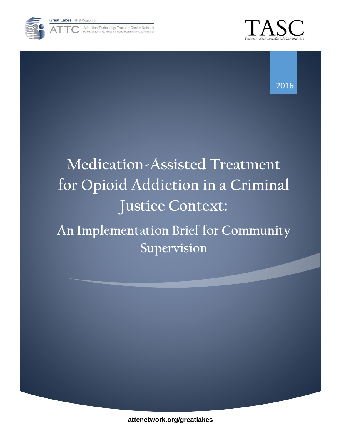

Addiction Technology Transfer Center Network





# **Medication-Assisted Treatment for Opioid Addiction in a Criminal Justice Context:**

**An Implementation Brief for Community Supervision**

**attcnetwork.org/greatlakes**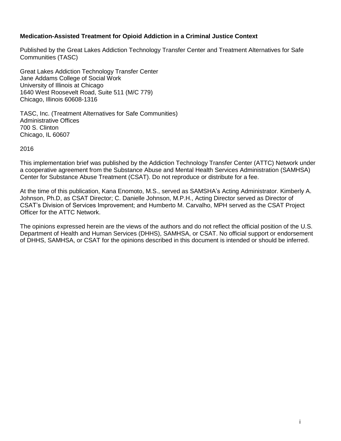#### **Medication-Assisted Treatment for Opioid Addiction in a Criminal Justice Context**

Published by the Great Lakes Addiction Technology Transfer Center and Treatment Alternatives for Safe Communities (TASC)

Great Lakes Addiction Technology Transfer Center Jane Addams College of Social Work University of Illinois at Chicago 1640 West Roosevelt Road, Suite 511 (M/C 779) Chicago, Illinois 60608-1316

TASC, Inc. (Treatment Alternatives for Safe Communities) Administrative Offices 700 S. Clinton Chicago, IL 60607

2016

This implementation brief was published by the Addiction Technology Transfer Center (ATTC) Network under a cooperative agreement from the Substance Abuse and Mental Health Services Administration (SAMHSA) Center for Substance Abuse Treatment (CSAT). Do not reproduce or distribute for a fee.

At the time of this publication, Kana Enomoto, M.S., served as SAMSHA's Acting Administrator. Kimberly A. Johnson, Ph.D, as CSAT Director; C. Danielle Johnson, M.P.H., Acting Director served as Director of CSAT's Division of Services Improvement; and Humberto M. Carvalho, MPH served as the CSAT Project Officer for the ATTC Network.

The opinions expressed herein are the views of the authors and do not reflect the official position of the U.S. Department of Health and Human Services (DHHS), SAMHSA, or CSAT. No official support or endorsement of DHHS, SAMHSA, or CSAT for the opinions described in this document is intended or should be inferred.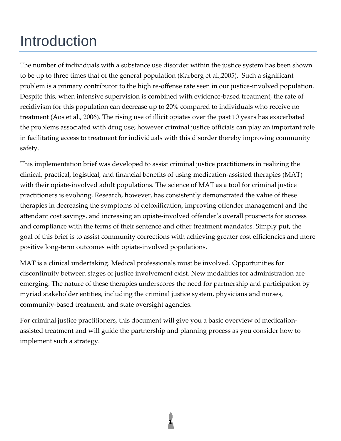# Introduction

The number of individuals with a substance use disorder within the justice system has been shown to be up to three times that of the general population (Karberg et al.,2005). Such a significant problem is a primary contributor to the high re-offense rate seen in our justice-involved population. Despite this, when intensive supervision is combined with evidence-based treatment, the rate of recidivism for this population can decrease up to 20% compared to individuals who receive no treatment (Aos et al., 2006). The rising use of illicit opiates over the past 10 years has exacerbated the problems associated with drug use; however criminal justice officials can play an important role in facilitating access to treatment for individuals with this disorder thereby improving community safety.

This implementation brief was developed to assist criminal justice practitioners in realizing the clinical, practical, logistical, and financial benefits of using medication-assisted therapies (MAT) with their opiate-involved adult populations. The science of MAT as a tool for criminal justice practitioners is evolving. Research, however, has consistently demonstrated the value of these therapies in decreasing the symptoms of detoxification, improving offender management and the attendant cost savings, and increasing an opiate-involved offender's overall prospects for success and compliance with the terms of their sentence and other treatment mandates. Simply put, the goal of this brief is to assist community corrections with achieving greater cost efficiencies and more positive long-term outcomes with opiate-involved populations.

MAT is a clinical undertaking. Medical professionals must be involved. Opportunities for discontinuity between stages of justice involvement exist. New modalities for administration are emerging. The nature of these therapies underscores the need for partnership and participation by myriad stakeholder entities, including the criminal justice system, physicians and nurses, community-based treatment, and state oversight agencies.

For criminal justice practitioners, this document will give you a basic overview of medicationassisted treatment and will guide the partnership and planning process as you consider how to implement such a strategy.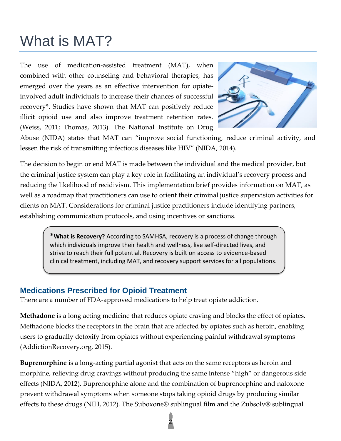# What is MAT?

The use of medication-assisted treatment (MAT), when combined with other counseling and behavioral therapies, has emerged over the years as an effective intervention for opiateinvolved adult individuals to increase their chances of successful recovery\*. Studies have shown that MAT can positively reduce illicit opioid use and also improve treatment retention rates. (Weiss, 2011; Thomas, 2013). The National Institute on Drug



Abuse (NIDA) states that MAT can "improve social functioning, reduce criminal activity, and lessen the risk of transmitting infectious diseases like HIV" (NIDA, 2014).

The decision to begin or end MAT is made between the individual and the medical provider, but the criminal justice system can play a key role in facilitating an individual's recovery process and reducing the likelihood of recidivism. This implementation brief provides information on MAT, as well as a roadmap that practitioners can use to orient their criminal justice supervision activities for clients on MAT. Considerations for criminal justice practitioners include identifying partners, establishing communication protocols, and using incentives or sanctions.

> **\*What is Recovery?** According to SAMHSA, recovery is a process of change through which individuals improve their health and wellness, live self-directed lives, and strive to reach their full potential. Recovery is built on access to evidence-based clinical treatment, including MAT, and recovery support services for all populations.

#### **Medications Prescribed for Opioid Treatment**

There are a number of FDA-approved medications to help treat opiate addiction.

**Methadone** is a long acting medicine that reduces opiate craving and blocks the effect of opiates. Methadone blocks the receptors in the brain that are affected by opiates such as heroin, enabling users to gradually detoxify from opiates without experiencing painful withdrawal symptoms (AddictionRecovery.org, 2015).

**Buprenorphine** is a long-acting partial agonist that acts on the same receptors as heroin and morphine, relieving drug cravings without producing the same intense "high" or dangerous side effects (NIDA, 2012). Buprenorphine alone and the combination of buprenorphine and naloxone prevent withdrawal symptoms when someone stops taking opioid drugs by producing similar effects to these drugs (NIH, 2012). The Suboxone® sublingual film and the Zubsolv® sublingual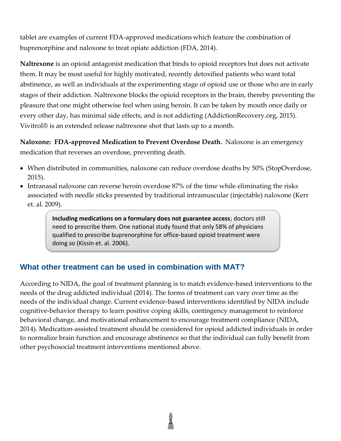tablet are examples of current FDA-approved medications which feature the combination of buprenorphine and naloxone to treat opiate addiction (FDA, 2014).

**Naltrexone** is an opioid antagonist medication that binds to opioid receptors but does not activate them. It may be most useful for highly motivated, recently detoxified patients who want total abstinence, as well as individuals at the experimenting stage of opioid use or those who are in early stages of their addiction. Naltrexone blocks the opioid receptors in the brain, thereby preventing the pleasure that one might otherwise feel when using heroin. It can be taken by mouth once daily or every other day, has minimal side effects, and is not addicting (AddictionRecovery.org, 2015). Vivitrol® is an extended release naltrexone shot that lasts up to a month.

**Naloxone: FDA-approved Medication to Prevent Overdose Death.** Naloxone is an emergency medication that reverses an overdose, preventing death.

- When distributed in communities, naloxone can reduce overdose deaths by 50% (StopOverdose, 2015).
- Intranasal naloxone can reverse heroin overdose 87% of the time while eliminating the risks associated with needle sticks presented by traditional intramuscular (injectable) naloxone (Kerr et. al. 2009).

**Including medications on a formulary does not guarantee access**; doctors still need to prescribe them. One national study found that only 58% of physicians qualified to prescribe buprenorphine for office-based opioid treatment were doing so (Kissin et. al. 2006).

### **What other treatment can be used in combination with MAT?**

According to NIDA, the goal of treatment planning is to match evidence-based interventions to the needs of the drug addicted individual (2014). The forms of treatment can vary over time as the needs of the individual change. Current evidence-based interventions identified by NIDA include cognitive-behavior therapy to learn positive coping skills, contingency management to reinforce behavioral change, and motivational enhancement to encourage treatment compliance (NIDA, 2014). Medication-assisted treatment should be considered for opioid addicted individuals in order to normalize brain function and encourage abstinence so that the individual can fully benefit from other psychosocial treatment interventions mentioned above.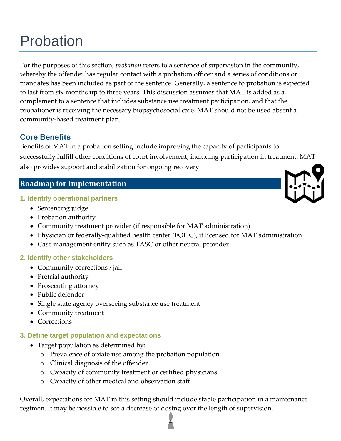# Probation

For the purposes of this section, *probation* refers to a sentence of supervision in the community, whereby the offender has regular contact with a probation officer and a series of conditions or mandates has been included as part of the sentence. Generally, a sentence to probation is expected to last from six months up to three years. This discussion assumes that MAT is added as a complement to a sentence that includes substance use treatment participation, and that the probationer is receiving the necessary biopsychosocial care. MAT should not be used absent a community-based treatment plan.

# **Core Benefits**

Benefits of MAT in a probation setting include improving the capacity of participants to successfully fulfill other conditions of court involvement, including participation in treatment. MAT also provides support and stabilization for ongoing recovery.

### **Roadmap for Implementation**

#### **1. Identify operational partners**

- Sentencing judge
- Probation authority
- Community treatment provider (if responsible for MAT administration)
- Physician or federally-qualified health center (FQHC), if licensed for MAT administration
- Case management entity such as TASC or other neutral provider

#### **2. Identify other stakeholders**

- Community corrections / jail
- Pretrial authority
- Prosecuting attorney
- Public defender
- Single state agency overseeing substance use treatment
- Community treatment
- Corrections

#### **3. Define target population and expectations**

- Target population as determined by:
	- o Prevalence of opiate use among the probation population
	- o Clinical diagnosis of the offender
	- o Capacity of community treatment or certified physicians
	- o Capacity of other medical and observation staff

Overall, expectations for MAT in this setting should include stable participation in a maintenance regimen. It may be possible to see a decrease of dosing over the length of supervision.

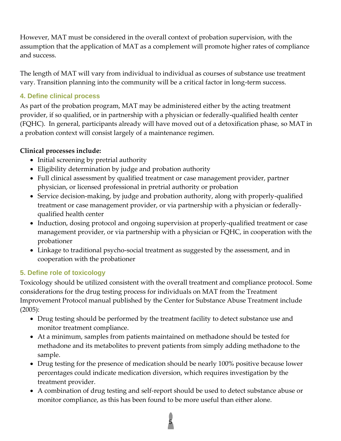However, MAT must be considered in the overall context of probation supervision, with the assumption that the application of MAT as a complement will promote higher rates of compliance and success.

The length of MAT will vary from individual to individual as courses of substance use treatment vary. Transition planning into the community will be a critical factor in long-term success.

### **4. Define clinical process**

As part of the probation program, MAT may be administered either by the acting treatment provider, if so qualified, or in partnership with a physician or federally-qualified health center (FQHC). In general, participants already will have moved out of a detoxification phase, so MAT in a probation context will consist largely of a maintenance regimen.

#### **Clinical processes include:**

- Initial screening by pretrial authority
- Eligibility determination by judge and probation authority
- Full clinical assessment by qualified treatment or case management provider, partner physician, or licensed professional in pretrial authority or probation
- Service decision-making, by judge and probation authority, along with properly-qualified treatment or case management provider, or via partnership with a physician or federallyqualified health center
- Induction, dosing protocol and ongoing supervision at properly-qualified treatment or case management provider, or via partnership with a physician or FQHC, in cooperation with the probationer
- Linkage to traditional psycho-social treatment as suggested by the assessment, and in cooperation with the probationer

### **5. Define role of toxicology**

Toxicology should be utilized consistent with the overall treatment and compliance protocol. Some considerations for the drug testing process for individuals on MAT from the Treatment Improvement Protocol manual published by the Center for Substance Abuse Treatment include (2005):

- Drug testing should be performed by the treatment facility to detect substance use and monitor treatment compliance.
- At a minimum, samples from patients maintained on methadone should be tested for methadone and its metabolites to prevent patients from simply adding methadone to the sample.
- Drug testing for the presence of medication should be nearly 100% positive because lower percentages could indicate medication diversion, which requires investigation by the treatment provider.
- A combination of drug testing and self-report should be used to detect substance abuse or monitor compliance, as this has been found to be more useful than either alone.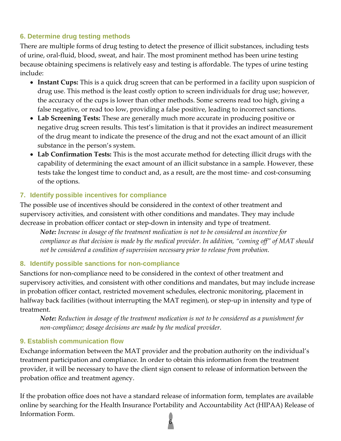#### **6. Determine drug testing methods**

There are multiple forms of drug testing to detect the presence of illicit substances, including tests of urine, oral-fluid, blood, sweat, and hair. The most prominent method has been urine testing because obtaining specimens is relatively easy and testing is affordable. The types of urine testing include:

- **Instant Cups:** This is a quick drug screen that can be performed in a facility upon suspicion of drug use. This method is the least costly option to screen individuals for drug use; however, the accuracy of the cups is lower than other methods. Some screens read too high, giving a false negative, or read too low, providing a false positive, leading to incorrect sanctions.
- **Lab Screening Tests:** These are generally much more accurate in producing positive or negative drug screen results. This test's limitation is that it provides an indirect measurement of the drug meant to indicate the presence of the drug and not the exact amount of an illicit substance in the person's system.
- **Lab Confirmation Tests:** This is the most accurate method for detecting illicit drugs with the capability of determining the exact amount of an illicit substance in a sample. However, these tests take the longest time to conduct and, as a result, are the most time- and cost-consuming of the options.

#### **7. Identify possible incentives for compliance**

The possible use of incentives should be considered in the context of other treatment and supervisory activities, and consistent with other conditions and mandates. They may include decrease in probation officer contact or step-down in intensity and type of treatment.

*Note: Increase in dosage of the treatment medication is not to be considered an incentive for compliance as that decision is made by the medical provider. In addition, "coming off" of MAT should not be considered a condition of supervision necessary prior to release from probation.*

#### **8. Identify possible sanctions for non-compliance**

Sanctions for non-compliance need to be considered in the context of other treatment and supervisory activities, and consistent with other conditions and mandates, but may include increase in probation officer contact, restricted movement schedules, electronic monitoring, placement in halfway back facilities (without interrupting the MAT regimen), or step-up in intensity and type of treatment.

*Note: Reduction in dosage of the treatment medication is not to be considered as a punishment for non-compliance; dosage decisions are made by the medical provider.*

#### **9. Establish communication flow**

Exchange information between the MAT provider and the probation authority on the individual's treatment participation and compliance. In order to obtain this information from the treatment provider, it will be necessary to have the client sign consent to release of information between the probation office and treatment agency.

If the probation office does not have a standard release of information form, templates are available online by searching for the Health Insurance Portability and Accountability Act (HIPAA) Release of Information Form.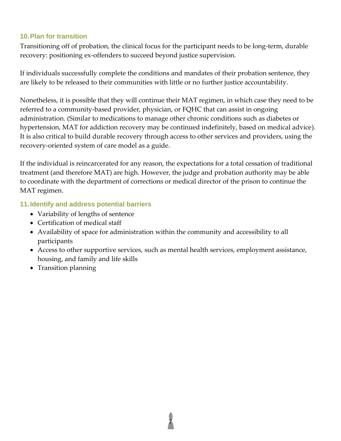#### **10.Plan for transition**

Transitioning off of probation, the clinical focus for the participant needs to be long-term, durable recovery: positioning ex-offenders to succeed beyond justice supervision.

If individuals successfully complete the conditions and mandates of their probation sentence, they are likely to be released to their communities with little or no further justice accountability.

Nonetheless, it is possible that they will continue their MAT regimen, in which case they need to be referred to a community-based provider, physician, or FQHC that can assist in ongoing administration. (Similar to medications to manage other chronic conditions such as diabetes or hypertension, MAT for addiction recovery may be continued indefinitely, based on medical advice). It is also critical to build durable recovery through access to other services and providers, using the recovery-oriented system of care model as a guide.

If the individual is reincarcerated for any reason, the expectations for a total cessation of traditional treatment (and therefore MAT) are high. However, the judge and probation authority may be able to coordinate with the department of corrections or medical director of the prison to continue the MAT regimen.

#### **11.Identify and address potential barriers**

- Variability of lengths of sentence
- Certification of medical staff
- Availability of space for administration within the community and accessibility to all participants
- Access to other supportive services, such as mental health services, employment assistance, housing, and family and life skills

7

• Transition planning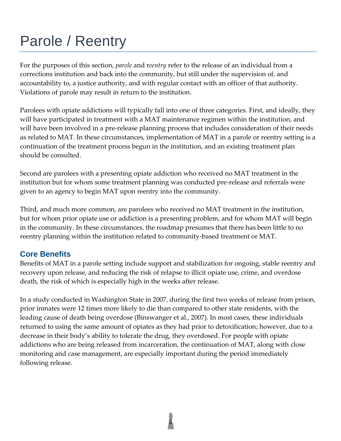# Parole / Reentry

For the purposes of this section, *parole* and r*eentry* refer to the release of an individual from a corrections institution and back into the community, but still under the supervision of, and accountability to, a justice authority, and with regular contact with an officer of that authority. Violations of parole may result in return to the institution.

Parolees with opiate addictions will typically fall into one of three categories. First, and ideally, they will have participated in treatment with a MAT maintenance regimen within the institution, and will have been involved in a pre-release planning process that includes consideration of their needs as related to MAT. In these circumstances, implementation of MAT in a parole or reentry setting is a continuation of the treatment process begun in the institution, and an existing treatment plan should be consulted.

Second are parolees with a presenting opiate addiction who received no MAT treatment in the institution but for whom some treatment planning was conducted pre-release and referrals were given to an agency to begin MAT upon reentry into the community.

Third, and much more common, are parolees who received no MAT treatment in the institution, but for whom prior opiate use or addiction is a presenting problem, and for whom MAT will begin in the community. In these circumstances, the roadmap presumes that there has been little to no reentry planning within the institution related to community-based treatment or MAT.

# **Core Benefits**

Benefits of MAT in a parole setting include support and stabilization for ongoing, stable reentry and recovery upon release, and reducing the risk of relapse to illicit opiate use, crime, and overdose death, the risk of which is especially high in the weeks after release.

In a study conducted in Washington State in 2007, during the first two weeks of release from prison, prior inmates were 12 times more likely to die than compared to other state residents, with the leading cause of death being overdose (Binswanger et al., 2007). In most cases, these individuals returned to using the same amount of opiates as they had prior to detoxification; however, due to a decrease in their body's ability to tolerate the drug, they overdosed. For people with opiate addictions who are being released from incarceration, the continuation of MAT, along with close monitoring and case management, are especially important during the period immediately following release.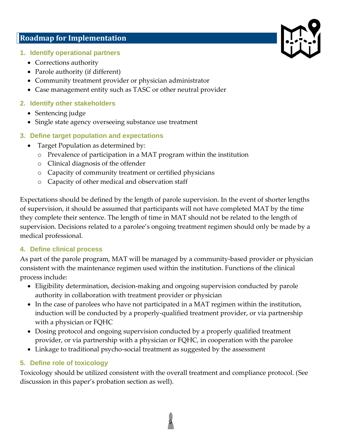### **Roadmap for Implementation**

- **1. Identify operational partners**
	- Corrections authority
	- Parole authority (if different)
	- Community treatment provider or physician administrator
	- Case management entity such as TASC or other neutral provider

### **2. Identify other stakeholders**

- Sentencing judge
- Single state agency overseeing substance use treatment
- **3. Define target population and expectations**
	- Target Population as determined by:
		- o Prevalence of participation in a MAT program within the institution
		- o Clinical diagnosis of the offender
		- o Capacity of community treatment or certified physicians
		- o Capacity of other medical and observation staff

Expectations should be defined by the length of parole supervision. In the event of shorter lengths of supervision, it should be assumed that participants will not have completed MAT by the time they complete their sentence. The length of time in MAT should not be related to the length of supervision. Decisions related to a parolee's ongoing treatment regimen should only be made by a medical professional.

### **4. Define clinical process**

As part of the parole program, MAT will be managed by a community-based provider or physician consistent with the maintenance regimen used within the institution. Functions of the clinical process include:

- Eligibility determination, decision-making and ongoing supervision conducted by parole authority in collaboration with treatment provider or physician
- In the case of parolees who have not participated in a MAT regimen within the institution, induction will be conducted by a properly-qualified treatment provider, or via partnership with a physician or FQHC
- Dosing protocol and ongoing supervision conducted by a properly qualified treatment provider, or via partnership with a physician or FQHC, in cooperation with the parolee
- Linkage to traditional psycho-social treatment as suggested by the assessment

# **5. Define role of toxicology**

Toxicology should be utilized consistent with the overall treatment and compliance protocol. (See discussion in this paper's probation section as well).

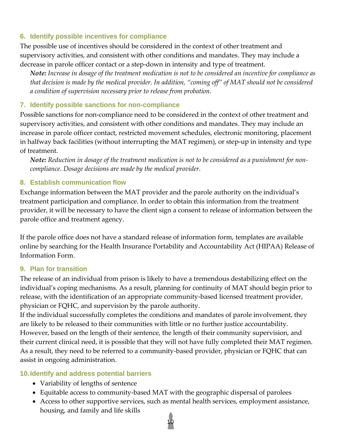#### **6. Identify possible incentives for compliance**

The possible use of incentives should be considered in the context of other treatment and supervisory activities, and consistent with other conditions and mandates. They may include a decrease in parole officer contact or a step-down in intensity and type of treatment.

*Note: Increase in dosage of the treatment medication is not to be considered an incentive for compliance as that decision is made by the medical provider. In addition, "coming off" of MAT should not be considered a condition of supervision necessary prior to release from probation.*

#### **7. Identify possible sanctions for non-compliance**

Possible sanctions for non-compliance need to be considered in the context of other treatment and supervisory activities, and consistent with other conditions and mandates. They may include an increase in parole officer contact, restricted movement schedules, electronic monitoring, placement in halfway back facilities (without interrupting the MAT regimen), or step-up in intensity and type of treatment.

*Note: Reduction in dosage of the treatment medication is not to be considered as a punishment for noncompliance. Dosage decisions are made by the medical provider.*

#### **8. Establish communication flow**

Exchange information between the MAT provider and the parole authority on the individual's treatment participation and compliance. In order to obtain this information from the treatment provider, it will be necessary to have the client sign a consent to release of information between the parole office and treatment agency.

If the parole office does not have a standard release of information form, templates are available online by searching for the Health Insurance Portability and Accountability Act (HIPAA) Release of Information Form.

#### **9. Plan for transition**

The release of an individual from prison is likely to have a tremendous destabilizing effect on the individual's coping mechanisms. As a result, planning for continuity of MAT should begin prior to release, with the identification of an appropriate community-based licensed treatment provider, physician or FQHC, and supervision by the parole authority.

If the individual successfully completes the conditions and mandates of parole involvement, they are likely to be released to their communities with little or no further justice accountability. However, based on the length of their sentence, the length of their community supervision, and their current clinical need, it is possible that they will not have fully completed their MAT regimen. As a result, they need to be referred to a community-based provider, physician or FQHC that can assist in ongoing administration.

#### **10.Identify and address potential barriers**

- Variability of lengths of sentence
- Equitable access to community-based MAT with the geographic dispersal of parolees
- Access to other supportive services, such as mental health services, employment assistance, housing, and family and life skills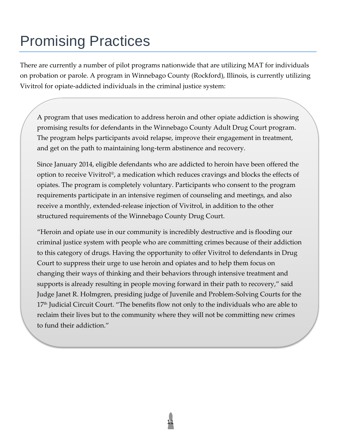# Promising Practices

There are currently a number of pilot programs nationwide that are utilizing MAT for individuals on probation or parole. A program in Winnebago County (Rockford), Illinois, is currently utilizing Vivitrol for opiate-addicted individuals in the criminal justice system:

A program that uses medication to address heroin and other opiate addiction is showing promising results for defendants in the Winnebago County Adult Drug Court program. The program helps participants avoid relapse, improve their engagement in treatment, and get on the path to maintaining long-term abstinence and recovery.

Since January 2014, eligible defendants who are addicted to heroin have been offered the option to receive Vivitrol®, a medication which reduces cravings and blocks the effects of opiates. The program is completely voluntary. Participants who consent to the program requirements participate in an intensive regimen of counseling and meetings, and also receive a monthly, extended-release injection of Vivitrol, in addition to the other structured requirements of the Winnebago County Drug Court.

"Heroin and opiate use in our community is incredibly destructive and is flooding our criminal justice system with people who are committing crimes because of their addiction to this category of drugs. Having the opportunity to offer Vivitrol to defendants in Drug Court to suppress their urge to use heroin and opiates and to help them focus on changing their ways of thinking and their behaviors through intensive treatment and supports is already resulting in people moving forward in their path to recovery," said Judge Janet R. Holmgren, presiding judge of Juvenile and Problem-Solving Courts for the 17<sup>th</sup> Judicial Circuit Court. "The benefits flow not only to the individuals who are able to reclaim their lives but to the community where they will not be committing new crimes to fund their addiction."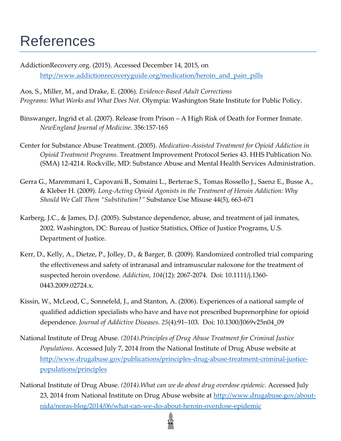# References

AddictionRecovery.org. (2015). Accessed December 14, 2015, on [http://www.addictionrecoveryguide.org/medication/heroin\\_and\\_pain\\_pills](http://www.addictionrecoveryguide.org/medication/heroin_and_pain_pills)

Aos, S., Miller, M., and Drake, E. (2006). *Evidence-Based Adult Corrections Programs: What Works and What Does Not.* Olympia: Washington State Institute for Public Policy.

- Binswanger, Ingrid et al. (2007). Release from Prison A High Risk of Death for Former Inmate. *NewEngland Journal of Medicine*. 356:157-165
- Center for Substance Abuse Treatment. (2005). *Medication-Assisted Treatment for Opioid Addiction in Opioid Treatment Programs.* Treatment Improvement Protocol Series 43. HHS Publication No. (SMA) 12-4214. Rockville, MD: Substance Abuse and Mental Health Services Administration.
- Gerra G., Maremmani I., Capovani B., Somaini L., Berterae S., Tomas Rossello J., Saenz E., Busse A., & Kleber H. (2009). *Long-Acting Opioid Agonists in the Treatment of Heroin Addiction: Why Should We Call Them "Substitution?"* Substance Use Misuse 44(5), 663-671
- Karberg, J.C., & James, D.J. (2005). Substance dependence, abuse, and treatment of jail inmates, 2002. Washington, DC: Bureau of Justice Statistics, Office of Justice Programs, U.S. Department of Justice.
- Kerr, D., Kelly, A., Dietze, P., Jolley, D., & Barger, B. (2009). Randomized controlled trial comparing the effectiveness and safety of intranasal and intramuscular naloxone for the treatment of suspected heroin overdose. *Addiction*, *104*(12): 2067-2074. Doi: 10.1111/j.1360- 0443.2009.02724.x.
- Kissin, W., McLeod, C., Sonnefeld, J., and Stanton, A. (2006). Experiences of a national sample of qualified addiction specialists who have and have not prescribed buprenorphine for opioid dependence. *Journal of Addictive Diseases. 25*(4):91–103. Doi: 10.1300/J069v25n04\_09
- National Institute of Drug Abuse*. (2014).Principles of Drug Abuse Treatment for Criminal Justice Populations*. Accessed July 7, 2014 from the National Institute of Drug Abuse website at [http://www.drugabuse.gov/publications/principles-drug-abuse-treatment-criminal-justice](http://www.drugabuse.gov/publications/principles-drug-abuse-treatment-criminal-justice-populations/principles)[populations/principles](http://www.drugabuse.gov/publications/principles-drug-abuse-treatment-criminal-justice-populations/principles)
- National Institute of Drug Abuse*. (2014).What can we do about drug overdose epidemic*. Accessed July 23, 2014 from National Institute on Drug Abuse website at [http://www.drugabuse.gov/about](http://www.drugabuse.gov/about-nida/noras-blog/2014/06/what-can-we-do-about-heroin-overdose-epidemic)[nida/noras-blog/2014/06/what-can-we-do-about-heroin-overdose-epidemic](http://www.drugabuse.gov/about-nida/noras-blog/2014/06/what-can-we-do-about-heroin-overdose-epidemic)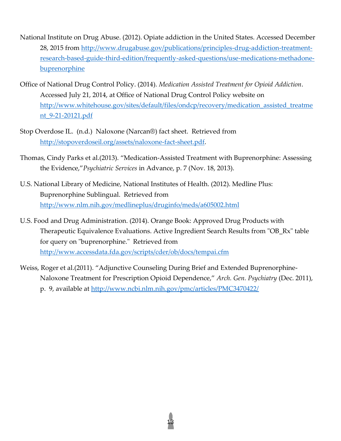- National Institute on Drug Abuse. (2012). Opiate addiction in the United States. Accessed December 28, 2015 from [http://www.drugabuse.gov/publications/principles-drug-addiction-treatment](http://www.drugabuse.gov/publications/principles-drug-addiction-treatment-research-based-guide-third-edition/frequently-asked-questions/use-medications-methadone-buprenorphine)[research-based-guide-third-edition/frequently-asked-questions/use-medications-methadone](http://www.drugabuse.gov/publications/principles-drug-addiction-treatment-research-based-guide-third-edition/frequently-asked-questions/use-medications-methadone-buprenorphine)[buprenorphine](http://www.drugabuse.gov/publications/principles-drug-addiction-treatment-research-based-guide-third-edition/frequently-asked-questions/use-medications-methadone-buprenorphine)
- Office of National Drug Control Policy. (2014). *Medication Assisted Treatment for Opioid Addiction*. Accessed July 21, 2014, at Office of National Drug Control Policy website on [http://www.whitehouse.gov/sites/default/files/ondcp/recovery/medication\\_assisted\\_treatme](http://www.whitehouse.gov/sites/default/files/ondcp/recovery/medication_assisted_treatment_9-21-20121.pdf) [nt\\_9-21-20121.pdf](http://www.whitehouse.gov/sites/default/files/ondcp/recovery/medication_assisted_treatment_9-21-20121.pdf)
- Stop Overdose IL. (n.d.) Naloxone (Narcan®) fact sheet. Retrieved from [http://stopoverdoseil.org/assets/naloxone-fact-sheet.pdf.](http://stopoverdoseil.org/assets/naloxone-fact-sheet.pdf)
- Thomas, Cindy Parks et al.(2013). "Medication-Assisted Treatment with Buprenorphine: Assessing the Evidence,"*Psychiatric Services* in Advance, p. 7 (Nov. 18, 2013).
- U.S. National Library of Medicine, National Institutes of Health. (2012). Medline Plus: Buprenorphine Sublingual. Retrieved from <http://www.nlm.nih.gov/medlineplus/druginfo/meds/a605002.html>
- U.S. Food and Drug Administration. (2014). Orange Book: Approved Drug Products with Therapeutic Equivalence Evaluations. Active Ingredient Search Results from "OB\_Rx" table for query on "buprenorphine." Retrieved from <http://www.accessdata.fda.gov/scripts/cder/ob/docs/tempai.cfm>
- Weiss, Roger et al.(2011). "Adjunctive Counseling During Brief and Extended Buprenorphine-Naloxone Treatment for Prescription Opioid Dependence," *Arch. Gen. Psychiatry* (Dec. 2011), p. 9, available at<http://www.ncbi.nlm.nih.gov/pmc/articles/PMC3470422/>